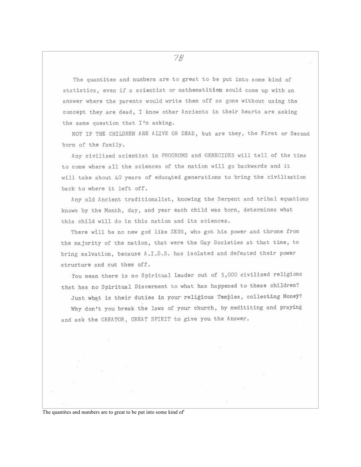The quantites and numbers are to great to be put into some kind of statistics, even if a scientist or mathematition could come up with an answer where the parents would write them off as gone without using the concept they are dead, I know other Ancients in their hearts are asking the same question that I'm asking.

NOT IF THE CHILDREN ARE ALIVE OR DEAD, but are they, the First or Second born of the family.

Any civilized scientist in PROGROMS and GENECIDES will tell of the time to come where all the sciences of the nation will go backwards and it will take about 40 years of educated generations to bring the civilization back to where it left off.

Any old Ancient traditionalist, knowing the Serpent and tribal equations knows by the Month, day, and year each child was born, determines what this child will do in this nation and its sciences.

There will be no new god like ZEUS, who got his power and throne from the majority of the nation, that were the Gay Societies at that time, to bring salvation, because A.I.D.S. has isolated and defeated their power structure and cut them off.

You mean there is no Spiritual Leader out of 5,000 civilized religions that has no Spiritual Discerment to what has happened to these children? Just what is their duties in your religious Temples, collecting Money? Why don't you break the laws of your church, by medititing and praying and ask the CREATOR, GREAT SPIRIT to give you the Answer.

The quantites and numbers are to great to be put into some kind of